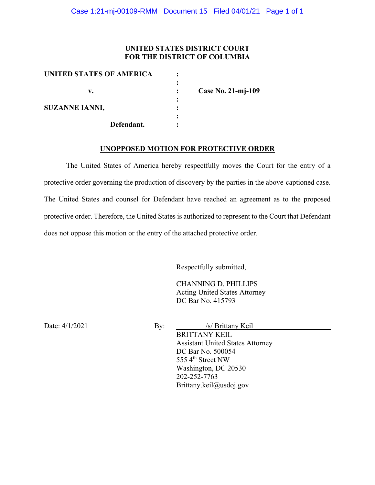## **UNITED STATES DISTRICT COURT FOR THE DISTRICT OF COLUMBIA**

| UNITED STATES OF AMERICA |                    |
|--------------------------|--------------------|
| v.                       | Case No. 21-mj-109 |
| <b>SUZANNE IANNI,</b>    |                    |
| Defendant.               |                    |

### **UNOPPOSED MOTION FOR PROTECTIVE ORDER**

The United States of America hereby respectfully moves the Court for the entry of a protective order governing the production of discovery by the parties in the above-captioned case. The United States and counsel for Defendant have reached an agreement as to the proposed protective order. Therefore, the United States is authorized to represent to the Court that Defendant does not oppose this motion or the entry of the attached protective order.

Respectfully submitted,

CHANNING D. PHILLIPS Acting United States Attorney DC Bar No. 415793

Date: 4/1/2021 By: */s/ Brittany Keil* 

BRITTANY KEIL Assistant United States Attorney DC Bar No. 500054 555 4<sup>th</sup> Street NW Washington, DC 20530 202-252-7763 Brittany.keil@usdoj.gov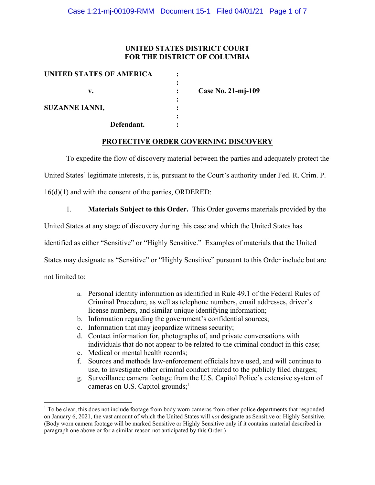## **UNITED STATES DISTRICT COURT FOR THE DISTRICT OF COLUMBIA**

| <b>UNITED STATES OF AMERICA</b> |        |                    |
|---------------------------------|--------|--------------------|
| v.                              |        | Case No. 21-mj-109 |
| <b>SUZANNE IANNI,</b>           | ٠<br>٠ |                    |
| Defendant.                      |        |                    |

### **PROTECTIVE ORDER GOVERNING DISCOVERY**

To expedite the flow of discovery material between the parties and adequately protect the

United States' legitimate interests, it is, pursuant to the Court's authority under Fed. R. Crim. P.

16(d)(1) and with the consent of the parties, ORDERED:

1. **Materials Subject to this Order.** This Order governs materials provided by the

United States at any stage of discovery during this case and which the United States has

identified as either "Sensitive" or "Highly Sensitive." Examples of materials that the United

States may designate as "Sensitive" or "Highly Sensitive" pursuant to this Order include but are

not limited to:

- a. Personal identity information as identified in Rule 49.1 of the Federal Rules of Criminal Procedure, as well as telephone numbers, email addresses, driver's license numbers, and similar unique identifying information;
- b. Information regarding the government's confidential sources;
- c. Information that may jeopardize witness security;
- d. Contact information for, photographs of, and private conversations with individuals that do not appear to be related to the criminal conduct in this case;
- e. Medical or mental health records;
- f. Sources and methods law-enforcement officials have used, and will continue to use, to investigate other criminal conduct related to the publicly filed charges;
- g. Surveillance camera footage from the U.S. Capitol Police's extensive system of cameras on U.S. Capitol grounds;<sup>1</sup>

 $1$  To be clear, this does not include footage from body worn cameras from other police departments that responded on January 6, 2021, the vast amount of which the United States will *not* designate as Sensitive or Highly Sensitive. (Body worn camera footage will be marked Sensitive or Highly Sensitive only if it contains material described in paragraph one above or for a similar reason not anticipated by this Order.)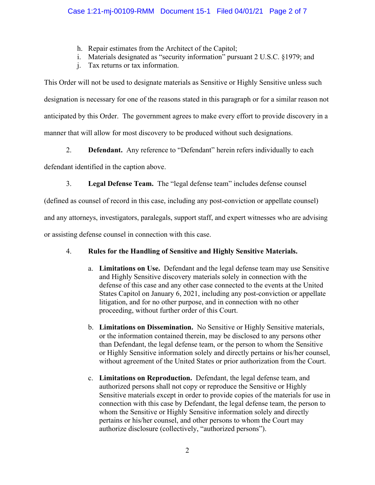- h. Repair estimates from the Architect of the Capitol;
- i. Materials designated as "security information" pursuant 2 U.S.C. §1979; and
- j. Tax returns or tax information.

This Order will not be used to designate materials as Sensitive or Highly Sensitive unless such designation is necessary for one of the reasons stated in this paragraph or for a similar reason not anticipated by this Order. The government agrees to make every effort to provide discovery in a manner that will allow for most discovery to be produced without such designations.

2. **Defendant.** Any reference to "Defendant" herein refers individually to each

defendant identified in the caption above.

3. **Legal Defense Team.** The "legal defense team" includes defense counsel

(defined as counsel of record in this case, including any post-conviction or appellate counsel)

and any attorneys, investigators, paralegals, support staff, and expert witnesses who are advising

or assisting defense counsel in connection with this case.

# 4. **Rules for the Handling of Sensitive and Highly Sensitive Materials.**

- a. **Limitations on Use.** Defendant and the legal defense team may use Sensitive and Highly Sensitive discovery materials solely in connection with the defense of this case and any other case connected to the events at the United States Capitol on January 6, 2021, including any post-conviction or appellate litigation, and for no other purpose, and in connection with no other proceeding, without further order of this Court.
- b. **Limitations on Dissemination.** No Sensitive or Highly Sensitive materials, or the information contained therein, may be disclosed to any persons other than Defendant, the legal defense team, or the person to whom the Sensitive or Highly Sensitive information solely and directly pertains or his/her counsel, without agreement of the United States or prior authorization from the Court.
- c. **Limitations on Reproduction.** Defendant, the legal defense team, and authorized persons shall not copy or reproduce the Sensitive or Highly Sensitive materials except in order to provide copies of the materials for use in connection with this case by Defendant, the legal defense team, the person to whom the Sensitive or Highly Sensitive information solely and directly pertains or his/her counsel, and other persons to whom the Court may authorize disclosure (collectively, "authorized persons").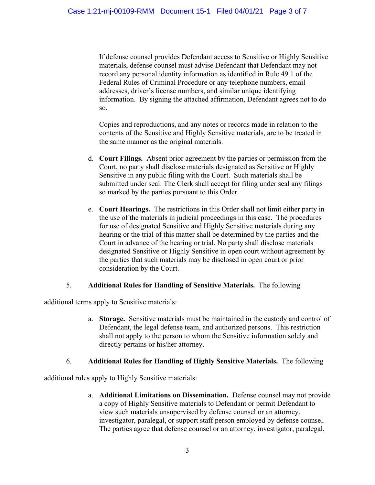If defense counsel provides Defendant access to Sensitive or Highly Sensitive materials, defense counsel must advise Defendant that Defendant may not record any personal identity information as identified in Rule 49.1 of the Federal Rules of Criminal Procedure or any telephone numbers, email addresses, driver's license numbers, and similar unique identifying information. By signing the attached affirmation, Defendant agrees not to do so.

Copies and reproductions, and any notes or records made in relation to the contents of the Sensitive and Highly Sensitive materials, are to be treated in the same manner as the original materials.

- d. **Court Filings.** Absent prior agreement by the parties or permission from the Court, no party shall disclose materials designated as Sensitive or Highly Sensitive in any public filing with the Court. Such materials shall be submitted under seal. The Clerk shall accept for filing under seal any filings so marked by the parties pursuant to this Order.
- e. **Court Hearings.** The restrictions in this Order shall not limit either party in the use of the materials in judicial proceedings in this case. The procedures for use of designated Sensitive and Highly Sensitive materials during any hearing or the trial of this matter shall be determined by the parties and the Court in advance of the hearing or trial. No party shall disclose materials designated Sensitive or Highly Sensitive in open court without agreement by the parties that such materials may be disclosed in open court or prior consideration by the Court.

## 5. **Additional Rules for Handling of Sensitive Materials.** The following

additional terms apply to Sensitive materials:

a. **Storage.** Sensitive materials must be maintained in the custody and control of Defendant, the legal defense team, and authorized persons. This restriction shall not apply to the person to whom the Sensitive information solely and directly pertains or his/her attorney.

## 6. **Additional Rules for Handling of Highly Sensitive Materials.** The following

additional rules apply to Highly Sensitive materials:

a. **Additional Limitations on Dissemination.** Defense counsel may not provide a copy of Highly Sensitive materials to Defendant or permit Defendant to view such materials unsupervised by defense counsel or an attorney, investigator, paralegal, or support staff person employed by defense counsel. The parties agree that defense counsel or an attorney, investigator, paralegal,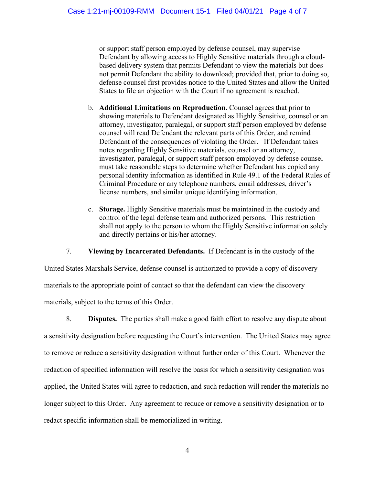or support staff person employed by defense counsel, may supervise Defendant by allowing access to Highly Sensitive materials through a cloudbased delivery system that permits Defendant to view the materials but does not permit Defendant the ability to download; provided that, prior to doing so, defense counsel first provides notice to the United States and allow the United States to file an objection with the Court if no agreement is reached.

- b. **Additional Limitations on Reproduction.** Counsel agrees that prior to showing materials to Defendant designated as Highly Sensitive, counsel or an attorney, investigator, paralegal, or support staff person employed by defense counsel will read Defendant the relevant parts of this Order, and remind Defendant of the consequences of violating the Order. If Defendant takes notes regarding Highly Sensitive materials, counsel or an attorney, investigator, paralegal, or support staff person employed by defense counsel must take reasonable steps to determine whether Defendant has copied any personal identity information as identified in Rule 49.1 of the Federal Rules of Criminal Procedure or any telephone numbers, email addresses, driver's license numbers, and similar unique identifying information.
- c. **Storage.** Highly Sensitive materials must be maintained in the custody and control of the legal defense team and authorized persons. This restriction shall not apply to the person to whom the Highly Sensitive information solely and directly pertains or his/her attorney.

7. **Viewing by Incarcerated Defendants.** If Defendant is in the custody of the

United States Marshals Service, defense counsel is authorized to provide a copy of discovery materials to the appropriate point of contact so that the defendant can view the discovery materials, subject to the terms of this Order.

8. **Disputes.** The parties shall make a good faith effort to resolve any dispute about a sensitivity designation before requesting the Court's intervention. The United States may agree to remove or reduce a sensitivity designation without further order of this Court. Whenever the redaction of specified information will resolve the basis for which a sensitivity designation was applied, the United States will agree to redaction, and such redaction will render the materials no longer subject to this Order. Any agreement to reduce or remove a sensitivity designation or to redact specific information shall be memorialized in writing.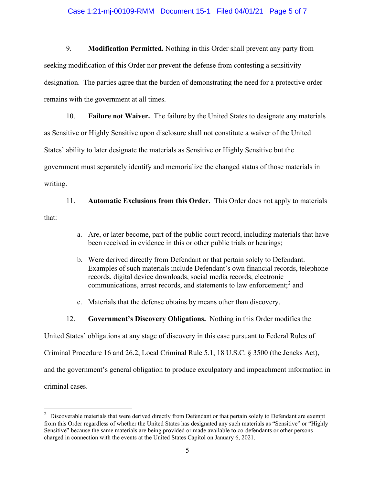### Case 1:21-mj-00109-RMM Document 15-1 Filed 04/01/21 Page 5 of 7

9. **Modification Permitted.** Nothing in this Order shall prevent any party from seeking modification of this Order nor prevent the defense from contesting a sensitivity designation. The parties agree that the burden of demonstrating the need for a protective order remains with the government at all times.

10. **Failure not Waiver.** The failure by the United States to designate any materials as Sensitive or Highly Sensitive upon disclosure shall not constitute a waiver of the United States' ability to later designate the materials as Sensitive or Highly Sensitive but the government must separately identify and memorialize the changed status of those materials in writing.

11. **Automatic Exclusions from this Order.** This Order does not apply to materials that:

- a. Are, or later become, part of the public court record, including materials that have been received in evidence in this or other public trials or hearings;
- b. Were derived directly from Defendant or that pertain solely to Defendant. Examples of such materials include Defendant's own financial records, telephone records, digital device downloads, social media records, electronic communications, arrest records, and statements to law enforcement; <sup>2</sup> and
- c. Materials that the defense obtains by means other than discovery.
- 12. **Government's Discovery Obligations.** Nothing in this Order modifies the

United States' obligations at any stage of discovery in this case pursuant to Federal Rules of

Criminal Procedure 16 and 26.2, Local Criminal Rule 5.1, 18 U.S.C. § 3500 (the Jencks Act),

and the government's general obligation to produce exculpatory and impeachment information in

criminal cases.

 $2$  Discoverable materials that were derived directly from Defendant or that pertain solely to Defendant are exempt from this Order regardless of whether the United States has designated any such materials as "Sensitive" or "Highly Sensitive" because the same materials are being provided or made available to co-defendants or other persons charged in connection with the events at the United States Capitol on January 6, 2021.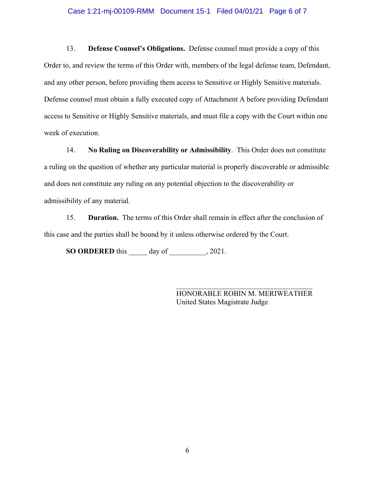#### Case 1:21-mj-00109-RMM Document 15-1 Filed 04/01/21 Page 6 of 7

13. **Defense Counsel's Obligations.** Defense counsel must provide a copy of this Order to, and review the terms of this Order with, members of the legal defense team, Defendant, and any other person, before providing them access to Sensitive or Highly Sensitive materials. Defense counsel must obtain a fully executed copy of Attachment A before providing Defendant access to Sensitive or Highly Sensitive materials, and must file a copy with the Court within one week of execution.

14. **No Ruling on Discoverability or Admissibility**. This Order does not constitute a ruling on the question of whether any particular material is properly discoverable or admissible and does not constitute any ruling on any potential objection to the discoverability or admissibility of any material.

15. **Duration.** The terms of this Order shall remain in effect after the conclusion of this case and the parties shall be bound by it unless otherwise ordered by the Court.

**SO ORDERED** this \_\_\_\_\_ day of \_\_\_\_\_\_\_\_\_\_, 2021.

\_\_\_\_\_\_\_\_\_\_\_\_\_\_\_\_\_\_\_\_\_\_\_\_\_\_\_\_\_\_\_\_\_\_\_\_\_ HONORABLE ROBIN M. MERIWEATHER United States Magistrate Judge